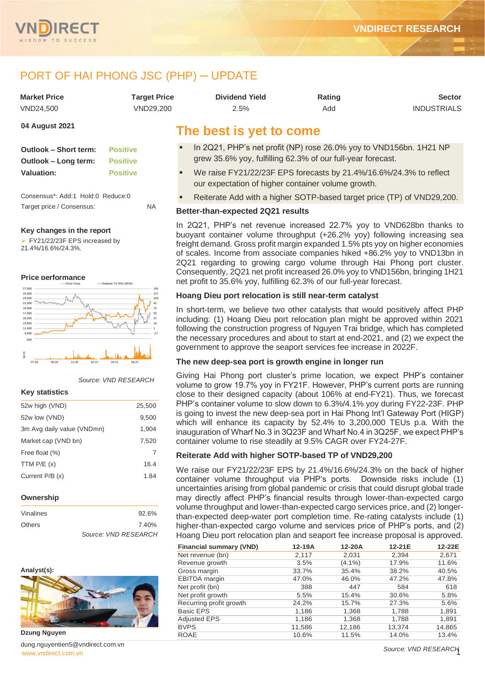

# PORT OF HAI PHONG JSC (PHP) - UPDATE

| Market Price | Tarqet Price | <b>Dividend Yield</b> | Rating | <b>Sector</b>      |
|--------------|--------------|-----------------------|--------|--------------------|
| VND24.500    | VND29.200    | 2.5%                  | Add    | <b>INDUSTRIALS</b> |

## **04 August 2021**

| <b>Outlook – Short term:</b> | <b>Positive</b> |
|------------------------------|-----------------|
| Outlook - Long term:         | <b>Positive</b> |
| Valuation:                   | <b>Positive</b> |

Consensus\*: Add:1 Hold:0 Reduce:0 Target price / Consensus: NA

### **Key changes in the report**

➢ FY21/22/23F EPS increased by 21.4%/16.6%/24.3%.

#### **Price performance**



### *Source: VND RESEARCH*

### **Key statistics**

| 52w high (VND)             | 25,500 |
|----------------------------|--------|
| 52w low (VND)              | 9,500  |
| 3m Avg daily value (VNDmn) | 1,904  |
| Market cap (VND bn)        | 7,520  |
| Free float (%)             | 7      |
| TTM $P/E(x)$               | 16.4   |
| Current $P/B(x)$           | 1.84   |
|                            |        |

### **Ownership**

| Vinalines     | $92.6\%$             |
|---------------|----------------------|
| <b>Others</b> | 7.40%                |
|               | Source: VND RESEARCH |

### **Analyst(s):**



**Dzung Nguyen**

[www.vndirect.com.vn](file:///C:/Users/Andre/Downloads/www.vndirect.com.vn) 1 dung.nguyentien5@vndirect.com.vn

# **The best is yet to come**

- In 2Q21, PHP's net profit (NP) rose 26.0% yoy to VND156bn. 1H21 NP grew 35.6% yoy, fulfilling 62.3% of our full-year forecast.
- We raise FY21/22/23F EPS forecasts by 21.4%/16.6%/24.3% to reflect our expectation of higher container volume growth.
- Reiterate Add with a higher SOTP-based target price (TP) of VND29,200.

# **Better-than-expected 2Q21 results**

In 2Q21, PHP's net revenue increased 22.7% yoy to VND628bn thanks to buoyant container volume throughput (+26.2% yoy) following increasing sea freight demand. Gross profit margin expanded 1.5% pts yoy on higher economies of scales. Income from associate companies hiked +86.2% yoy to VND13bn in 2Q21 regarding to growing cargo volume through Hai Phong port cluster. Consequently, 2Q21 net profit increased 26.0% yoy to VND156bn, bringing 1H21 net profit to 35.6% yoy, fulfilling 62.3% of our full-year forecast.

### **Hoang Dieu port relocation is still near-term catalyst**

In short-term, we believe two other catalysts that would positively affect PHP including: (1) Hoang Dieu port relocation plan might be approved within 2021 following the construction progress of Nguyen Trai bridge, which has completed the necessary procedures and about to start at end-2021, and (2) we expect the government to approve the seaport services fee increase in 2022F.

# **The new deep-sea port is growth engine in longer run**

Giving Hai Phong port cluster's prime location, we expect PHP's container volume to grow 19.7% yoy in FY21F. However, PHP's current ports are running close to their designed capacity (about 106% at end-FY21). Thus, we forecast PHP's container volume to slow down to 6.3%/4.1% yoy during FY22-23F. PHP is going to invest the new deep-sea port in Hai Phong Int'l Gateway Port (HIGP) which will enhance its capacity by 52.4% to 3,200,000 TEUs p.a. With the inauguration of Wharf No.3 in 3Q23F and Wharf No.4 in 3Q25F, we expect PHP's container volume to rise steadily at 9.5% CAGR over FY24-27F.

# **Reiterate Add with higher SOTP-based TP of VND29,200**

We raise our FY21/22/23F EPS by 21.4%/16.6%/24.3% on the back of higher container volume throughput via PHP's ports. Downside risks include (1) uncertainties arising from global pandemic or crisis that could disrupt global trade may directly affect PHP's financial results through lower-than-expected cargo volume throughput and lower-than-expected cargo services price, and (2) longerthan-expected deep-water port completion time. Re-rating catalysts include (1) higher-than-expected cargo volume and services price of PHP's ports, and (2) Hoang Dieu port relocation plan and seaport fee increase proposal is approved.

| <b>Financial summary (VND)</b> | 12-19A | 12-20A    | 12-21E | 12-22E |
|--------------------------------|--------|-----------|--------|--------|
| Net revenue (bn)               | 2,117  | 2,031     | 2,394  | 2,671  |
| Revenue growth                 | 3.5%   | $(4.1\%)$ | 17.9%  | 11.6%  |
| Gross margin                   | 33.7%  | 35.4%     | 38.2%  | 40.5%  |
| <b>EBITDA</b> margin           | 47.0%  | 46.0%     | 47.2%  | 47.8%  |
| Net profit (bn)                | 388    | 447       | 584    | 618    |
| Net profit growth              | 5.5%   | 15.4%     | 30.6%  | 5.8%   |
| Recurring profit growth        | 24.2%  | 15.7%     | 27.3%  | 5.6%   |
| Basic EPS                      | 1,186  | 1,368     | 1,788  | 1,891  |
| <b>Adjusted EPS</b>            | 1,186  | 1,368     | 1,788  | 1,891  |
| <b>BVPS</b>                    | 11,586 | 12,186    | 13,374 | 14,865 |
| <b>ROAE</b>                    | 10.6%  | 11.5%     | 14.0%  | 13.4%  |

*Source: VND RESEARCH*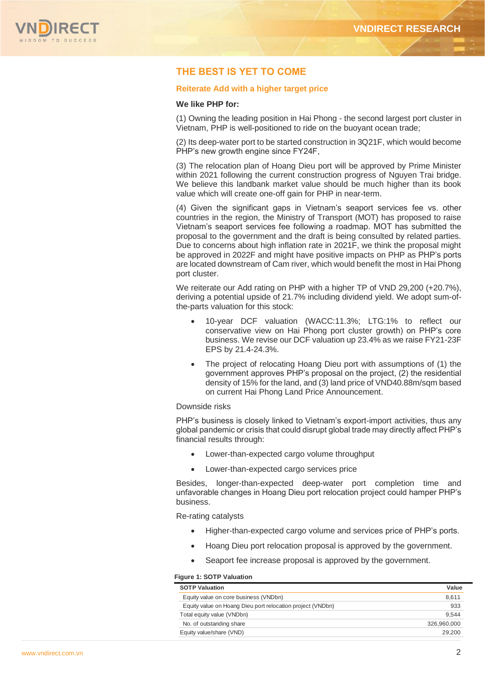

# **THE BEST IS YET TO COME**

# **Reiterate Add with a higher target price**

## **We like PHP for:**

(1) Owning the leading position in Hai Phong - the second largest port cluster in Vietnam, PHP is well-positioned to ride on the buoyant ocean trade;

(2) Its deep-water port to be started construction in 3Q21F, which would become PHP's new growth engine since FY24F,

(3) The relocation plan of Hoang Dieu port will be approved by Prime Minister within 2021 following the current construction progress of Nguyen Trai bridge. We believe this landbank market value should be much higher than its book value which will create one-off gain for PHP in near-term.

(4) Given the significant gaps in Vietnam's seaport services fee vs. other countries in the region, the Ministry of Transport (MOT) has proposed to raise Vietnam's seaport services fee following a roadmap. MOT has submitted the proposal to the government and the draft is being consulted by related parties. Due to concerns about high inflation rate in 2021F, we think the proposal might be approved in 2022F and might have positive impacts on PHP as PHP's ports are located downstream of Cam river, which would benefit the most in Hai Phong port cluster.

We reiterate our Add rating on PHP with a higher TP of VND 29.200 (+20.7%). deriving a potential upside of 21.7% including dividend yield. We adopt sum-ofthe-parts valuation for this stock:

- 10-year DCF valuation (WACC:11.3%; LTG:1% to reflect our conservative view on Hai Phong port cluster growth) on PHP's core business. We revise our DCF valuation up 23.4% as we raise FY21-23F EPS by 21.4-24.3%.
- The project of relocating Hoang Dieu port with assumptions of (1) the government approves PHP's proposal on the project, (2) the residential density of 15% for the land, and (3) land price of VND40.88m/sqm based on current Hai Phong Land Price Announcement.

# Downside risks

PHP's business is closely linked to Vietnam's export-import activities, thus any global pandemic or crisis that could disrupt global trade may directly affect PHP's financial results through:

- Lower-than-expected cargo volume throughput
- Lower-than-expected cargo services price

Besides, longer-than-expected deep-water port completion time and unfavorable changes in Hoang Dieu port relocation project could hamper PHP's business.

Re-rating catalysts

- Higher-than-expected cargo volume and services price of PHP's ports.
- Hoang Dieu port relocation proposal is approved by the government.
- Seaport fee increase proposal is approved by the government.

#### **Figure 1: SOTP Valuation**

| <b>SOTP Valuation</b>                                      | Value       |
|------------------------------------------------------------|-------------|
| Equity value on core business (VNDbn)                      | 8,611       |
| Equity value on Hoang Dieu port relocation project (VNDbn) | 933         |
| Total equity value (VNDbn)                                 | 9.544       |
| No. of outstanding share                                   | 326.960.000 |
| Equity value/share (VND)                                   | 29,200      |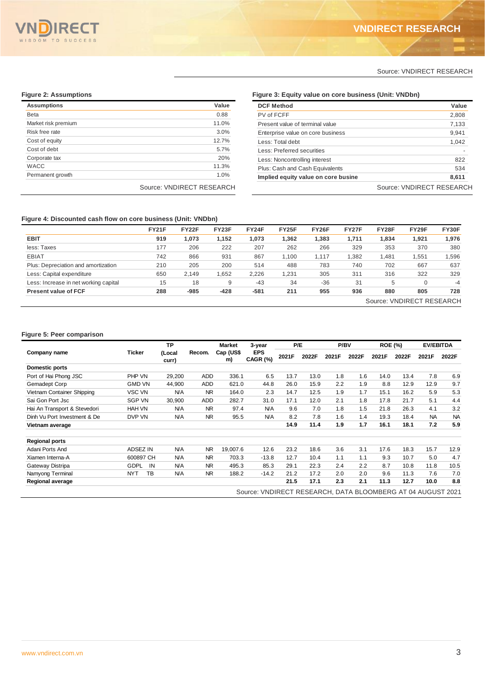

**DCF Method Value** PV of FCFF 2,808 Present value of terminal value 7,133 Enterprise value on core business 9,941 Less: Total debt 1,042

Less: Noncontrolling interest 822 Plus: Cash and Cash Equivalents 534 Implied equity value on core business and the set of  $\frac{8,611}{2}$ 

## Source: VNDIRECT RESEARCH

Source: VNDIRECT RESEARCH

# **Figure 2: Assumptions Figure 3: Equity value on core business (Unit: VNDbn)**

| <b>Assumptions</b>  | Value                     |
|---------------------|---------------------------|
| <b>Beta</b>         | 0.88                      |
| Market risk premium | 11.0%                     |
| Risk free rate      | 3.0%                      |
| Cost of equity      | 12.7%                     |
| Cost of debt        | 5.7%                      |
| Corporate tax       | 20%                       |
| <b>WACC</b>         | 11.3%                     |
| Permanent growth    | 1.0%                      |
|                     | Source: VNDIRECT RESEARCH |

### **Figure 4: Discounted cash flow on core business (Unit: VNDbn)**

| <b>FY21F</b> | <b>FY22F</b> | <b>FY23F</b> | FY24F  | FY25F | <b>FY26F</b> | FY27F | FY28F | FY29F    | FY30F |
|--------------|--------------|--------------|--------|-------|--------------|-------|-------|----------|-------|
| 919          | 1,073        | 1.152        | 1.073  | 1,362 | 1.383        | 1.711 | 1,834 | 1,921    | 1,976 |
| 177          | 206          | 222          | 207    | 262   | 266          | 329   | 353   | 370      | 380   |
| 742          | 866          | 931          | 867    | 1.100 | 1.117        | ,382  | 1,481 | 1,551    | .596  |
| 210          | 205          | 200          | 514    | 488   | 783          | 740   | 702   | 667      | 637   |
| 650          | 2.149        | 1,652        | 2,226  | 1,231 | 305          | 311   | 316   | 322      | 329   |
| 15           | 18           | 9            | $-43$  | 34    | $-36$        | 31    | 5     | $\Omega$ | $-4$  |
| 288          | $-985$       | $-428$       | $-581$ | 211   | 955          | 936   | 880   | 805      | 728   |
|              |              |              |        |       |              |       |       |          |       |

Less: Preferred securities

# **Figure 5: Peer comparison**

|                              |                  | <b>TP</b>       |            | <b>Market</b>   | 3-year                 | P/E   |       | P/BV  |       | <b>ROE (%)</b> |       | <b>EV/EBITDA</b> |           |
|------------------------------|------------------|-----------------|------------|-----------------|------------------------|-------|-------|-------|-------|----------------|-------|------------------|-----------|
| Company name                 | Ticker           | (Local<br>curr) | Recom.     | Cap (US\$<br>m) | <b>EPS</b><br>CAGR (%) | 2021F | 2022F | 2021F | 2022F | 2021F          | 2022F | 2021F            | 2022F     |
| Domestic ports               |                  |                 |            |                 |                        |       |       |       |       |                |       |                  |           |
| Port of Hai Phong JSC        | PHP VN           | 29,200          | <b>ADD</b> | 336.1           | 6.5                    | 13.7  | 13.0  | 1.8   | 1.6   | 14.0           | 13.4  | 7.8              | 6.9       |
| Gemadept Corp                | <b>GMD VN</b>    | 44.900          | <b>ADD</b> | 621.0           | 44.8                   | 26.0  | 15.9  | 2.2   | 1.9   | 8.8            | 12.9  | 12.9             | 9.7       |
| Vietnam Container Shipping   | VSC VN           | <b>N/A</b>      | <b>NR</b>  | 164.0           | 2.3                    | 14.7  | 12.5  | 1.9   | 1.7   | 15.1           | 16.2  | 5.9              | 5.3       |
| Sai Gon Port Jsc             | <b>SGP VN</b>    | 30.900          | <b>ADD</b> | 282.7           | 31.0                   | 17.1  | 12.0  | 2.1   | 1.8   | 17.8           | 21.7  | 5.1              | 4.4       |
| Hai An Transport & Stevedori | <b>HAH VN</b>    | <b>N/A</b>      | <b>NR</b>  | 97.4            | N/A                    | 9.6   | 7.0   | 1.8   | 1.5   | 21.8           | 26.3  | 4.1              | 3.2       |
| Dinh Vu Port Investment & De | DVP VN           | <b>N/A</b>      | <b>NR</b>  | 95.5            | <b>N/A</b>             | 8.2   | 7.8   | 1.6   | 1.4   | 19.3           | 18.4  | <b>NA</b>        | <b>NA</b> |
| Vietnam average              |                  |                 |            |                 |                        | 14.9  | 11.4  | 1.9   | 1.7   | 16.1           | 18.1  | 7.2              | 5.9       |
| <b>Regional ports</b>        |                  |                 |            |                 |                        |       |       |       |       |                |       |                  |           |
| Adani Ports And              | ADSEZ IN         | <b>N/A</b>      | <b>NR</b>  | 19,007.6        | 12.6                   | 23.2  | 18.6  | 3.6   | 3.1   | 17.6           | 18.3  | 15.7             | 12.9      |
| Xiamen Interna-A             | 600897 CH        | N/A             | <b>NR</b>  | 703.3           | $-13.8$                | 12.7  | 10.4  | 1.1   | 1.1   | 9.3            | 10.7  | 5.0              | 4.7       |
| Gateway Distripa             | GDPL<br>IN       | <b>N/A</b>      | <b>NR</b>  | 495.3           | 85.3                   | 29.1  | 22.3  | 2.4   | 2.2   | 8.7            | 10.8  | 11.8             | 10.5      |
| Namyong Terminal             | TB<br><b>NYT</b> | N/A             | <b>NR</b>  | 188.2           | $-14.2$                | 21.2  | 17.2  | 2.0   | 2.0   | 9.6            | 11.3  | 7.6              | 7.0       |
| <b>Regional average</b>      |                  |                 |            |                 |                        | 21.5  | 17.1  | 2.3   | 2.1   | 11.3           | 12.7  | 10.0             | 8.8       |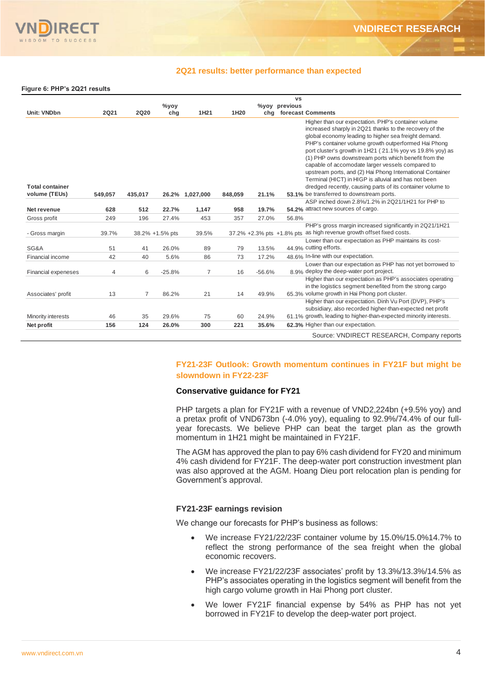

# **2Q21 results: better performance than expected**

**Figure 6: PHP's 2Q21 results**

|                        |             |             |                 |                 |         |          | <b>VS</b>                                                                                                                                                                                                                                                                                                                                                                                                                                                                                                                                                                                                                               |
|------------------------|-------------|-------------|-----------------|-----------------|---------|----------|-----------------------------------------------------------------------------------------------------------------------------------------------------------------------------------------------------------------------------------------------------------------------------------------------------------------------------------------------------------------------------------------------------------------------------------------------------------------------------------------------------------------------------------------------------------------------------------------------------------------------------------------|
|                        |             |             | $\%$ yoy        |                 |         |          | %yoy previous                                                                                                                                                                                                                                                                                                                                                                                                                                                                                                                                                                                                                           |
| <b>Unit: VNDbn</b>     | <b>2Q21</b> | <b>2Q20</b> | chg             | 1H21            | 1H20    |          | chg forecast Comments                                                                                                                                                                                                                                                                                                                                                                                                                                                                                                                                                                                                                   |
| <b>Total container</b> |             |             |                 |                 |         |          | Higher than our expectation. PHP's container volume<br>increased sharply in 2Q21 thanks to the recovery of the<br>global economy leading to higher sea freight demand.<br>PHP's container volume growth outperformed Hai Phong<br>port cluster's growth in 1H21 (21.1% yoy vs 19.8% yoy) as<br>(1) PHP owns downstream ports which benefit from the<br>capable of accomodate larger vessels compared to<br>upstream ports, and (2) Hai Phong International Container<br>Terminal (HICT) in HIGP is alluvial and has not been<br>dredged recently, causing parts of its container volume to<br>53.1% be transferred to downstream ports. |
| volume (TEUs)          | 549,057     | 435,017     |                 | 26.2% 1,027,000 | 848,059 | 21.1%    | ASP inched down 2.8%/1.2% in 2Q21/1H21 for PHP to                                                                                                                                                                                                                                                                                                                                                                                                                                                                                                                                                                                       |
| Net revenue            | 628         | 512         | 22.7%           | 1,147           | 958     | 19.7%    | 54.2% attract new sources of cargo.                                                                                                                                                                                                                                                                                                                                                                                                                                                                                                                                                                                                     |
|                        |             |             |                 |                 |         |          |                                                                                                                                                                                                                                                                                                                                                                                                                                                                                                                                                                                                                                         |
| Gross profit           | 249         | 196         | 27.4%           | 453             | 357     | 27.0%    | 56.8%                                                                                                                                                                                                                                                                                                                                                                                                                                                                                                                                                                                                                                   |
|                        |             |             |                 |                 |         |          | PHP's gross margin increased significantly in 2Q21/1H21                                                                                                                                                                                                                                                                                                                                                                                                                                                                                                                                                                                 |
| - Gross margin         | 39.7%       |             | 38.2% +1.5% pts | 39.5%           |         |          | 37.2% +2.3% pts +1.8% pts as high revenue growth offset fixed costs.                                                                                                                                                                                                                                                                                                                                                                                                                                                                                                                                                                    |
|                        |             |             |                 |                 |         |          | Lower than our expectation as PHP maintains its cost-                                                                                                                                                                                                                                                                                                                                                                                                                                                                                                                                                                                   |
| SG&A                   | 51          | 41          | 26.0%           | 89              | 79      | 13.5%    | 44.9% cutting efforts.                                                                                                                                                                                                                                                                                                                                                                                                                                                                                                                                                                                                                  |
| Financial income       | 42          | 40          | 5.6%            | 86              | 73      | 17.2%    | 48.6% In-line with our expectation.                                                                                                                                                                                                                                                                                                                                                                                                                                                                                                                                                                                                     |
|                        |             |             |                 |                 |         |          | Lower than our expectation as PHP has not yet borrowed to                                                                                                                                                                                                                                                                                                                                                                                                                                                                                                                                                                               |
| Financial expeneses    | 4           | 6           | $-25.8%$        | $\overline{7}$  | 16      | $-56.6%$ | 8.9% deploy the deep-water port project.                                                                                                                                                                                                                                                                                                                                                                                                                                                                                                                                                                                                |
|                        |             |             |                 |                 |         |          | Higher than our expectation as PHP's associates operating                                                                                                                                                                                                                                                                                                                                                                                                                                                                                                                                                                               |
|                        |             |             |                 |                 |         |          | in the logistics segment benefited from the strong cargo                                                                                                                                                                                                                                                                                                                                                                                                                                                                                                                                                                                |
| Associates' profit     | 13          | 7           | 86.2%           | 21              | 14      | 49.9%    | 65.3% volume growth in Hai Phong port cluster.                                                                                                                                                                                                                                                                                                                                                                                                                                                                                                                                                                                          |
|                        |             |             |                 |                 |         |          | Higher than our expectation. Dinh Vu Port (DVP), PHP's                                                                                                                                                                                                                                                                                                                                                                                                                                                                                                                                                                                  |
|                        |             |             |                 |                 |         |          | subsidiary, also recorded higher-than-expected net profit                                                                                                                                                                                                                                                                                                                                                                                                                                                                                                                                                                               |
| Minority interests     | 46          | 35          | 29.6%           | 75              | 60      | 24.9%    | 61.1% growth, leading to higher-than-expected minority interests.                                                                                                                                                                                                                                                                                                                                                                                                                                                                                                                                                                       |
| Net profit             | 156         | 124         | 26.0%           | 300             | 221     | 35.6%    | 62.3% Higher than our expectation.                                                                                                                                                                                                                                                                                                                                                                                                                                                                                                                                                                                                      |
|                        |             |             |                 |                 |         |          | Source: VNDIRECT RESEARCH, Company reports                                                                                                                                                                                                                                                                                                                                                                                                                                                                                                                                                                                              |

# **FY21-23F Outlook: Growth momentum continues in FY21F but might be slowndown in FY22-23F**

# **Conservative guidance for FY21**

PHP targets a plan for FY21F with a revenue of VND2,224bn (+9.5% yoy) and a pretax profit of VND673bn (-4.0% yoy), equaling to 92.9%/74.4% of our fullyear forecasts. We believe PHP can beat the target plan as the growth momentum in 1H21 might be maintained in FY21F.

The AGM has approved the plan to pay 6% cash dividend for FY20 and minimum 4% cash dividend for FY21F. The deep-water port construction investment plan was also approved at the AGM. Hoang Dieu port relocation plan is pending for Government's approval.

# **FY21-23F earnings revision**

We change our forecasts for PHP's business as follows:

- We increase FY21/22/23F container volume by 15.0%/15.0%14.7% to reflect the strong performance of the sea freight when the global economic recovers.
- We increase FY21/22/23F associates' profit by 13.3%/13.3%/14.5% as PHP's associates operating in the logistics segment will benefit from the high cargo volume growth in Hai Phong port cluster.
- We lower FY21F financial expense by 54% as PHP has not yet borrowed in FY21F to develop the deep-water port project.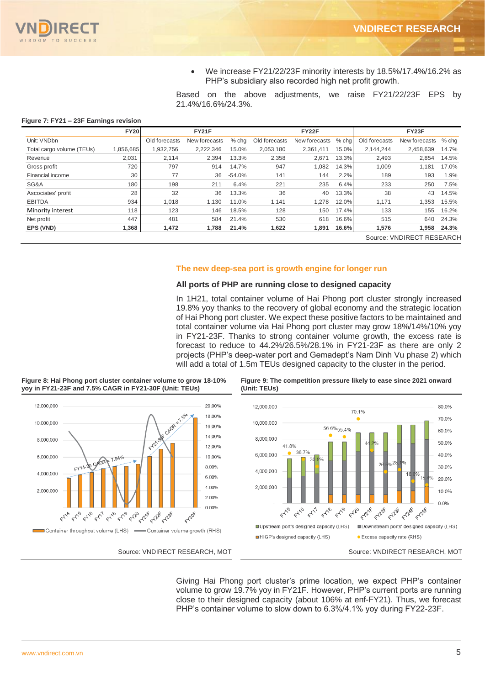

• We increase FY21/22/23F minority interests by 18.5%/17.4%/16.2% as PHP's subsidiary also recorded high net profit growth.

Based on the above adjustments, we raise FY21/22/23F EPS by 21.4%/16.6%/24.3%.

#### **Figure 7: FY21 – 23F Earnings revision**

**Figure 8: Hai Phong port cluster container volume to grow 18-10%** 

|                           | <b>FY20</b> |               | <b>FY21F</b>  |          |               | FY22F         |       |               | FY23F                     |         |
|---------------------------|-------------|---------------|---------------|----------|---------------|---------------|-------|---------------|---------------------------|---------|
| Unit: VNDbn               |             | Old forecasts | New forecasts | $%$ chg  | Old forecasts | New forecasts | % chq | Old forecasts | New forecasts             | $%$ chg |
| Total cargo volume (TEUs) | 1,856,685   | 1,932,756     | 2,222,346     | 15.0%    | 2,053,180     | 2,361,411     | 15.0% | 2,144,244     | 2,458,639                 | 14.7%   |
| Revenue                   | 2.031       | 2,114         | 2.394         | 13.3%    | 2,358         | 2,671         | 13.3% | 2,493         | 2,854                     | 14.5%   |
| Gross profit              | 720         | 797           | 914           | 14.7%    | 947           | 1,082         | 14.3% | 1,009         | 1.181                     | 17.0%   |
| Financial income          | 30          | 77            | 36            | $-54.0%$ | 141           | 144           | 2.2%  | 189           | 193                       | 1.9%    |
| SG&A                      | 180         | 198           | 211           | 6.4%     | 221           | 235           | 6.4%  | 233           | 250                       | 7.5%    |
| Ascociates' profit        | 28          | 32            | 36            | 13.3%    | 36            | 40            | 13.3% | 38            | 43                        | 14.5%   |
| <b>EBITDA</b>             | 934         | 1,018         | 1.130         | 11.0%    | 1.141         | 1.278         | 12.0% | 1,171         | 1.353                     | 15.5%   |
| Minority interest         | 118         | 123           | 146           | 18.5%    | 128           | 150           | 17.4% | 133           | 155                       | 16.2%   |
| Net profit                | 447         | 481           | 584           | 21.4%    | 530           | 618           | 16.6% | 515           | 640                       | 24.3%   |
| EPS (VND)                 | 1,368       | 1,472         | 1,788         | 21.4%    | 1,622         | 1,891         | 16.6% | 1,576         | 1.958                     | 24.3%   |
|                           |             |               |               |          |               |               |       |               | Source: VNDIRECT RESEARCH |         |

### **The new deep-sea port is growth engine for longer run**

### **All ports of PHP are running close to designed capacity**

In 1H21, total container volume of Hai Phong port cluster strongly increased 19.8% yoy thanks to the recovery of global economy and the strategic location of Hai Phong port cluster. We expect these positive factors to be maintained and total container volume via Hai Phong port cluster may grow 18%/14%/10% yoy in FY21-23F. Thanks to strong container volume growth, the excess rate is forecast to reduce to 44.2%/26.5%/28.1% in FY21-23F as there are only 2 projects (PHP's deep-water port and Gemadept's Nam Dinh Vu phase 2) which will add a total of 1.5m TEUs designed capacity to the cluster in the period.



#### **Figure 9: The competition pressure likely to ease since 2021 onward (Unit: TEUs)**

Giving Hai Phong port cluster's prime location, we expect PHP's container volume to grow 19.7% yoy in FY21F. However, PHP's current ports are running close to their designed capacity (about 106% at enf-FY21). Thus, we forecast PHP's container volume to slow down to 6.3%/4.1% yoy during FY22-23F.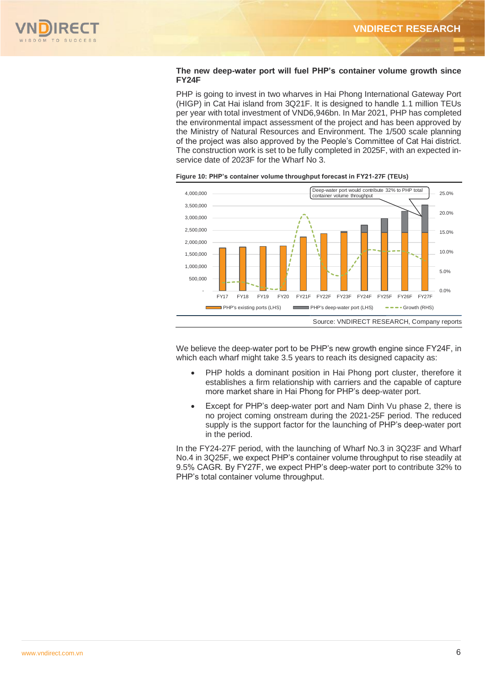

## **The new deep-water port will fuel PHP's container volume growth since FY24F**

PHP is going to invest in two wharves in Hai Phong International Gateway Port (HIGP) in Cat Hai island from 3Q21F. It is designed to handle 1.1 million TEUs per year with total investment of VND6,946bn. In Mar 2021, PHP has completed the environmental impact assessment of the project and has been approved by the Ministry of Natural Resources and Environment. The 1/500 scale planning of the project was also approved by the People's Committee of Cat Hai district. The construction work is set to be fully completed in 2025F, with an expected inservice date of 2023F for the Wharf No 3.



**Figure 10: PHP's container volume throughput forecast in FY21-27F (TEUs)**

We believe the deep-water port to be PHP's new growth engine since FY24F, in which each wharf might take 3.5 years to reach its designed capacity as:

- PHP holds a dominant position in Hai Phong port cluster, therefore it establishes a firm relationship with carriers and the capable of capture more market share in Hai Phong for PHP's deep-water port.
- Except for PHP's deep-water port and Nam Dinh Vu phase 2, there is no project coming onstream during the 2021-25F period. The reduced supply is the support factor for the launching of PHP's deep-water port in the period.

In the FY24-27F period, with the launching of Wharf No.3 in 3Q23F and Wharf No.4 in 3Q25F, we expect PHP's container volume throughput to rise steadily at 9.5% CAGR. By FY27F, we expect PHP's deep-water port to contribute 32% to PHP's total container volume throughput.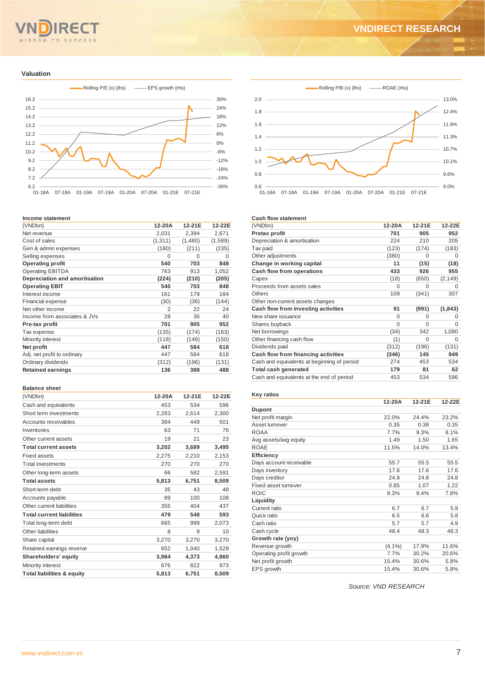# **SUCCESS** SDOM TO

# **VNDIRECT RESEARCH**

### **Valuation**



#### **Income statement**

| (VNDbn)                       | 12-20A  | 12-21E  | 12-22E  |
|-------------------------------|---------|---------|---------|
| Net revenue                   | 2,031   | 2,394   | 2,671   |
| Cost of sales                 | (1,311) | (1,480) | (1,589) |
| Gen & admin expenses          | (180)   | (211)   | (235)   |
| Selling expenses              | 0       | 0       | 0       |
| <b>Operating profit</b>       | 540     | 703     | 848     |
| <b>Operating EBITDA</b>       | 763     | 913     | 1,052   |
| Depreciation and amortisation | (224)   | (210)   | (205)   |
| <b>Operating EBIT</b>         | 540     | 703     | 848     |
| Interest income               | 161     | 179     | 184     |
| <b>Financial expense</b>      | (30)    | (36)    | (144)   |
| Net other income              | 2       | 22      | 24      |
| Income from associates & JVs  | 28      | 36      | 40      |
| Pre-tax profit                | 701     | 905     | 952     |
| Tax expense                   | (135)   | (174)   | (183)   |
| Minority interest             | (118)   | (146)   | (150)   |
| Net profit                    | 447     | 584     | 618     |
| Adj. net profit to ordinary   | 447     | 584     | 618     |
| Ordinary dividends            | (312)   | (196)   | (131)   |
| <b>Retained earnings</b>      | 136     | 388     | 488     |

#### **Balance sheet**

| (VNDbn)                               | 12-20A | 12-21E | 12-22E |
|---------------------------------------|--------|--------|--------|
| Cash and equivalents                  | 453    | 534    | 596    |
| Short term investments                | 2,283  | 2,614  | 2,300  |
| Accounts receivables                  | 384    | 449    | 501    |
| Inventories                           | 63     | 71     | 76     |
| Other current assets                  | 19     | 21     | 23     |
| <b>Total current assets</b>           | 3,202  | 3.689  | 3,495  |
| Fixed assets                          | 2,275  | 2,210  | 2,153  |
| <b>Total investments</b>              | 270    | 270    | 270    |
| Other long-term assets                | 66     | 582    | 2,591  |
| <b>Total assets</b>                   | 5,813  | 6.751  | 8,509  |
| Short-term debt                       | 35     | 43     | 48     |
| Accounts payable                      | 89     | 100    | 108    |
| Other current liabilities             | 355    | 404    | 437    |
| <b>Total current liabilities</b>      | 479    | 548    | 593    |
| Total long-term debt                  | 665    | 999    | 2,073  |
| Other liabilities                     | 8      | 9      | 10     |
| Share capital                         | 3.270  | 3,270  | 3,270  |
| Retained earnings reserve             | 652    | 1,040  | 1,528  |
| Shareholders' equity                  | 3,984  | 4,373  | 4,860  |
| Minority interest                     | 676    | 822    | 973    |
| <b>Total liabilities &amp; equity</b> | 5.813  | 6.751  | 8.509  |



#### **Cash flow statement**

| 12-20A   | 12-21E   | 12-22E   |
|----------|----------|----------|
| 701      | 905      | 952      |
| 224      | 210      | 205      |
| (123)    | (174)    | (183)    |
| (380)    | O        | O        |
| 11       | (15)     | (18)     |
| 433      | 926      | 955      |
| (18)     | (650)    | (2, 149) |
| 0        | O        | O        |
| 109      | (341)    | 307      |
|          |          |          |
| 91       | (991)    | (1, 843) |
| 0        | O        | O        |
| $\Omega$ | $\Omega$ | $\Omega$ |
| (34)     | 342      | 1,080    |
| (1)      | $\Omega$ | O        |
| (312)    | (196)    | (131)    |
| (346)    | 145      | 949      |
| 274      | 453      | 534      |
| 179      | 81       | 62       |
| 453      | 534      | 596      |
|          |          |          |

#### **Key ratios**

|                         | 12-20A    | 12-21E | 12-22E |
|-------------------------|-----------|--------|--------|
| <b>Dupont</b>           |           |        |        |
| Net profit margin       | 22.0%     | 24.4%  | 23.2%  |
| Asset turnover          | 0.35      | 0.38   | 0.35   |
| <b>ROAA</b>             | 7.7%      | 9.3%   | 8.1%   |
| Avg assets/avg equity   | 1.49      | 1.50   | 1.65   |
| <b>ROAE</b>             | 11.5%     | 14.0%  | 13.4%  |
| <b>Efficiency</b>       |           |        |        |
| Days account receivable | 55.7      | 55.5   | 55.5   |
| Days inventory          | 17.6      | 17.6   | 17.6   |
| Days creditor           | 24.8      | 24.8   | 24.8   |
| Fixed asset turnover    | 0.85      | 1.07   | 1.22   |
| <b>ROIC</b>             | 8.3%      | 9.4%   | 7.8%   |
| Liquidity               |           |        |        |
| Current ratio           | 6.7       | 6.7    | 5.9    |
| Quick ratio             | 6.5       | 6.6    | 5.8    |
| Cash ratio              | 5.7       | 5.7    | 4.9    |
| Cash cycle              | 48.4      | 48.3   | 48.3   |
| Growth rate (yoy)       |           |        |        |
| Revenue growth          | $(4.1\%)$ | 17.9%  | 11.6%  |
| Operating profit growth | 7.7%      | 30.2%  | 20.6%  |
| Net profit growth       | 15.4%     | 30.6%  | 5.8%   |
| EPS growth              | 15.4%     | 30.6%  | 5.8%   |

*Source: VND RESEARCH*